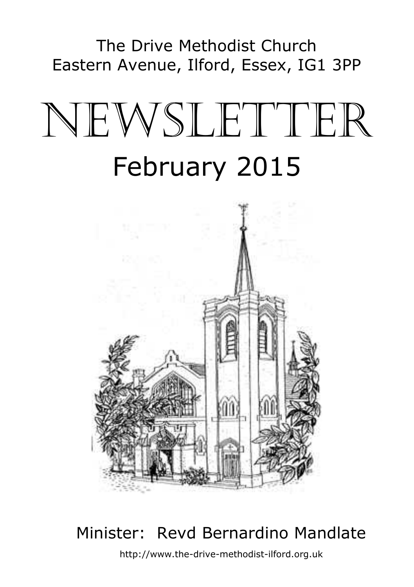The Drive Methodist Church Eastern Avenue, Ilford, Essex, IG1 3PP

# NEWSLETTER February 2015



## Minister: Revd Bernardino Mandlate

http://www.the-drive-methodist-ilford.org.uk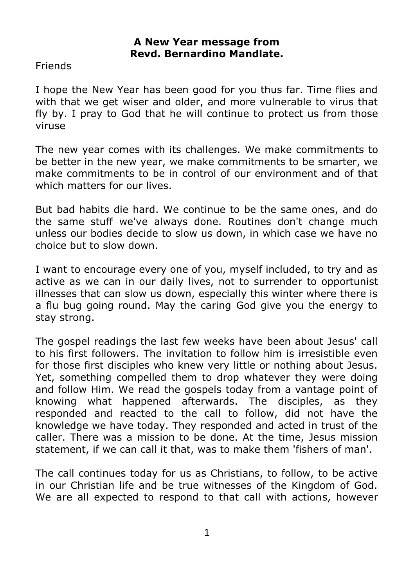#### **A New Year message from Revd. Bernardino Mandlate.**

Friends

I hope the New Year has been good for you thus far. Time flies and with that we get wiser and older, and more vulnerable to virus that fly by. I pray to God that he will continue to protect us from those viruse

The new year comes with its challenges. We make commitments to be better in the new year, we make commitments to be smarter, we make commitments to be in control of our environment and of that which matters for our lives.

But bad habits die hard. We continue to be the same ones, and do the same stuff we've always done. Routines don't change much unless our bodies decide to slow us down, in which case we have no choice but to slow down.

I want to encourage every one of you, myself included, to try and as active as we can in our daily lives, not to surrender to opportunist illnesses that can slow us down, especially this winter where there is a flu bug going round. May the caring God give you the energy to stay strong.

The gospel readings the last few weeks have been about Jesus' call to his first followers. The invitation to follow him is irresistible even for those first disciples who knew very little or nothing about Jesus. Yet, something compelled them to drop whatever they were doing and follow Him. We read the gospels today from a vantage point of knowing what happened afterwards. The disciples, as they responded and reacted to the call to follow, did not have the knowledge we have today. They responded and acted in trust of the caller. There was a mission to be done. At the time, Jesus mission statement, if we can call it that, was to make them 'fishers of man'.

The call continues today for us as Christians, to follow, to be active in our Christian life and be true witnesses of the Kingdom of God. We are all expected to respond to that call with actions, however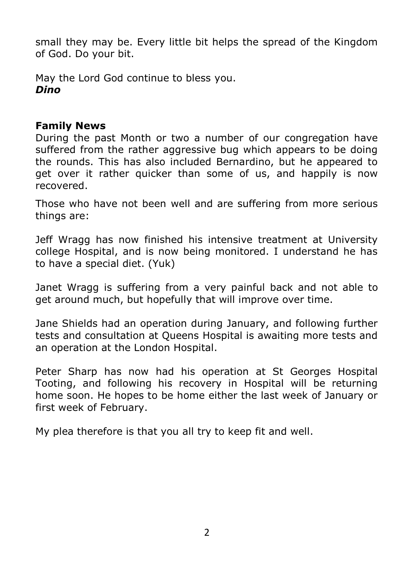small they may be. Every little bit helps the spread of the Kingdom of God. Do your bit.

May the Lord God continue to bless you. *Dino*

#### **Family News**

During the past Month or two a number of our congregation have suffered from the rather aggressive bug which appears to be doing the rounds. This has also included Bernardino, but he appeared to get over it rather quicker than some of us, and happily is now recovered.

Those who have not been well and are suffering from more serious things are:

Jeff Wragg has now finished his intensive treatment at University college Hospital, and is now being monitored. I understand he has to have a special diet. (Yuk)

Janet Wragg is suffering from a very painful back and not able to get around much, but hopefully that will improve over time.

Jane Shields had an operation during January, and following further tests and consultation at Queens Hospital is awaiting more tests and an operation at the London Hospital.

Peter Sharp has now had his operation at St Georges Hospital Tooting, and following his recovery in Hospital will be returning home soon. He hopes to be home either the last week of January or first week of February.

My plea therefore is that you all try to keep fit and well.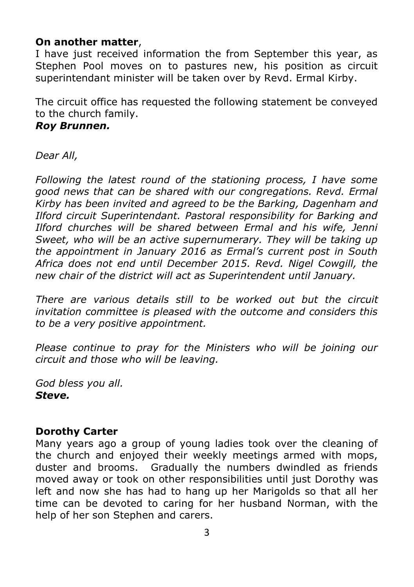#### **On another matter**,

I have just received information the from September this year, as Stephen Pool moves on to pastures new, his position as circuit superintendant minister will be taken over by Revd. Ermal Kirby.

The circuit office has requested the following statement be conveyed to the church family.

#### *Roy Brunnen.*

*Dear All,*

*Following the latest round of the stationing process, I have some good news that can be shared with our congregations. Revd. Ermal Kirby has been invited and agreed to be the Barking, Dagenham and Ilford circuit Superintendant. Pastoral responsibility for Barking and Ilford churches will be shared between Ermal and his wife, Jenni Sweet, who will be an active supernumerary. They will be taking up the appointment in January 2016 as Ermal's current post in South Africa does not end until December 2015. Revd. Nigel Cowgill, the new chair of the district will act as Superintendent until January.*

*There are various details still to be worked out but the circuit invitation committee is pleased with the outcome and considers this to be a very positive appointment.*

*Please continue to pray for the Ministers who will be joining our circuit and those who will be leaving.*

*God bless you all. Steve.*

#### **Dorothy Carter**

Many years ago a group of young ladies took over the cleaning of the church and enjoyed their weekly meetings armed with mops, duster and brooms. Gradually the numbers dwindled as friends moved away or took on other responsibilities until just Dorothy was left and now she has had to hang up her Marigolds so that all her time can be devoted to caring for her husband Norman, with the help of her son Stephen and carers.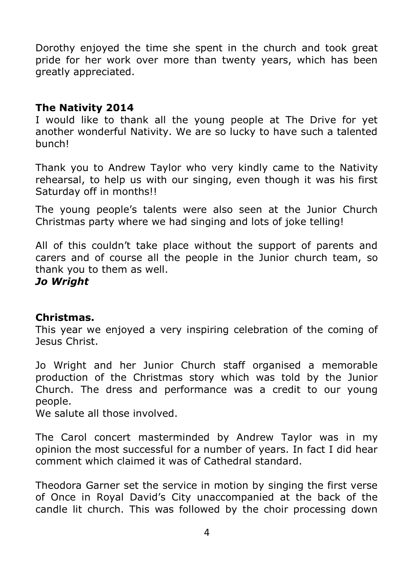Dorothy enjoyed the time she spent in the church and took great pride for her work over more than twenty years, which has been greatly appreciated.

#### **The Nativity 2014**

I would like to thank all the young people at The Drive for yet another wonderful Nativity. We are so lucky to have such a talented bunch!

Thank you to Andrew Taylor who very kindly came to the Nativity rehearsal, to help us with our singing, even though it was his first Saturday off in months!!

The young people's talents were also seen at the Junior Church Christmas party where we had singing and lots of joke telling!

All of this couldn't take place without the support of parents and carers and of course all the people in the Junior church team, so thank you to them as well.

#### *Jo Wright*

#### **Christmas.**

This year we enjoyed a very inspiring celebration of the coming of Jesus Christ.

Jo Wright and her Junior Church staff organised a memorable production of the Christmas story which was told by the Junior Church. The dress and performance was a credit to our young people.

We salute all those involved.

The Carol concert masterminded by Andrew Taylor was in my opinion the most successful for a number of years. In fact I did hear comment which claimed it was of Cathedral standard.

Theodora Garner set the service in motion by singing the first verse of Once in Royal David's City unaccompanied at the back of the candle lit church. This was followed by the choir processing down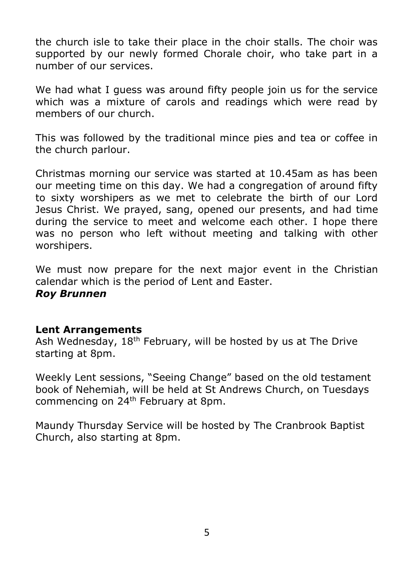the church isle to take their place in the choir stalls. The choir was supported by our newly formed Chorale choir, who take part in a number of our services.

We had what I guess was around fifty people join us for the service which was a mixture of carols and readings which were read by members of our church.

This was followed by the traditional mince pies and tea or coffee in the church parlour.

Christmas morning our service was started at 10.45am as has been our meeting time on this day. We had a congregation of around fifty to sixty worshipers as we met to celebrate the birth of our Lord Jesus Christ. We prayed, sang, opened our presents, and had time during the service to meet and welcome each other. I hope there was no person who left without meeting and talking with other worshipers.

We must now prepare for the next major event in the Christian calendar which is the period of Lent and Easter. *Roy Brunnen*

#### **Lent Arrangements**

Ash Wednesday, 18<sup>th</sup> February, will be hosted by us at The Drive starting at 8pm.

Weekly Lent sessions, "Seeing Change" based on the old testament book of Nehemiah, will be held at St Andrews Church, on Tuesdays commencing on 24<sup>th</sup> February at 8pm.

Maundy Thursday Service will be hosted by The Cranbrook Baptist Church, also starting at 8pm.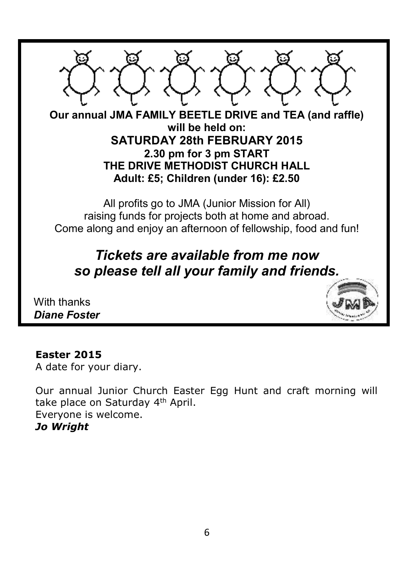

With thanks *Diane Foster*



#### **Easter 2015**

A date for your diary.

Our annual Junior Church Easter Egg Hunt and craft morning will take place on Saturday 4<sup>th</sup> April. Everyone is welcome. *Jo Wright*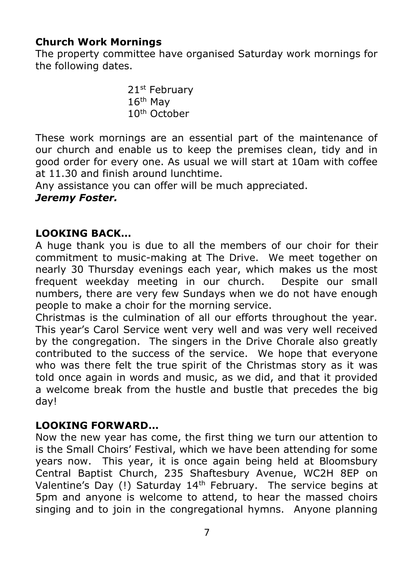#### **Church Work Mornings**

The property committee have organised Saturday work mornings for the following dates.

> 21<sup>st</sup> February 16th May 10th October

These work mornings are an essential part of the maintenance of our church and enable us to keep the premises clean, tidy and in good order for every one. As usual we will start at 10am with coffee at 11.30 and finish around lunchtime.

Any assistance you can offer will be much appreciated.

#### *Jeremy Foster.*

#### **LOOKING BACK…**

A huge thank you is due to all the members of our choir for their commitment to music-making at The Drive. We meet together on nearly 30 Thursday evenings each year, which makes us the most frequent weekday meeting in our church. Despite our small numbers, there are very few Sundays when we do not have enough people to make a choir for the morning service.

Christmas is the culmination of all our efforts throughout the year. This year's Carol Service went very well and was very well received by the congregation. The singers in the Drive Chorale also greatly contributed to the success of the service. We hope that everyone who was there felt the true spirit of the Christmas story as it was told once again in words and music, as we did, and that it provided a welcome break from the hustle and bustle that precedes the big day!

#### **LOOKING FORWARD…**

Now the new year has come, the first thing we turn our attention to is the Small Choirs' Festival, which we have been attending for some years now. This year, it is once again being held at Bloomsbury Central Baptist Church, 235 Shaftesbury Avenue, WC2H 8EP on Valentine's Day (!) Saturday 14th February. The service begins at 5pm and anyone is welcome to attend, to hear the massed choirs singing and to join in the congregational hymns. Anyone planning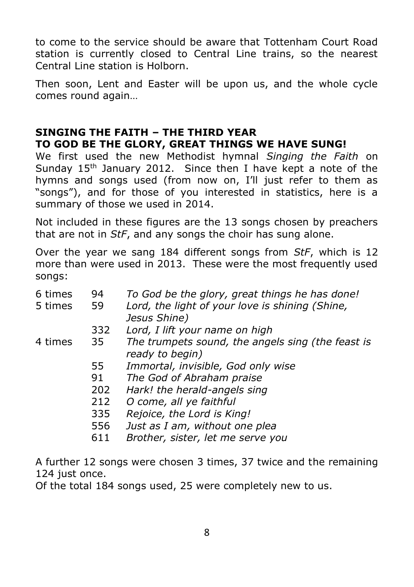to come to the service should be aware that Tottenham Court Road station is currently closed to Central Line trains, so the nearest Central Line station is Holborn.

Then soon, Lent and Easter will be upon us, and the whole cycle comes round again…

#### **SINGING THE FAITH – THE THIRD YEAR TO GOD BE THE GLORY, GREAT THINGS WE HAVE SUNG!**

We first used the new Methodist hymnal *Singing the Faith* on Sunday 15<sup>th</sup> January 2012. Since then I have kept a note of the hymns and songs used (from now on, I'll just refer to them as "songs"), and for those of you interested in statistics, here is a summary of those we used in 2014.

Not included in these figures are the 13 songs chosen by preachers that are not in *StF*, and any songs the choir has sung alone.

Over the year we sang 184 different songs from *StF*, which is 12 more than were used in 2013. These were the most frequently used songs:

| 6 times<br>5 times | 94<br>59 | To God be the glory, great things he has done!<br>Lord, the light of your love is shining (Shine,<br>Jesus Shine) |
|--------------------|----------|-------------------------------------------------------------------------------------------------------------------|
|                    | 332      | Lord, I lift your name on high                                                                                    |
| 4 times            | 35       | The trumpets sound, the angels sing (the feast is<br>ready to begin)                                              |
|                    | 55       | Immortal, invisible, God only wise                                                                                |
|                    | 91       | The God of Abraham praise                                                                                         |
|                    | 202      | Hark! the herald-angels sing                                                                                      |
|                    | 212      | O come, all ye faithful                                                                                           |
|                    | 335      | Rejoice, the Lord is King!                                                                                        |
|                    | 556      | Just as I am, without one plea                                                                                    |
|                    | 611      | Brother, sister, let me serve you                                                                                 |
|                    |          |                                                                                                                   |

A further 12 songs were chosen 3 times, 37 twice and the remaining 124 just once.

Of the total 184 songs used, 25 were completely new to us.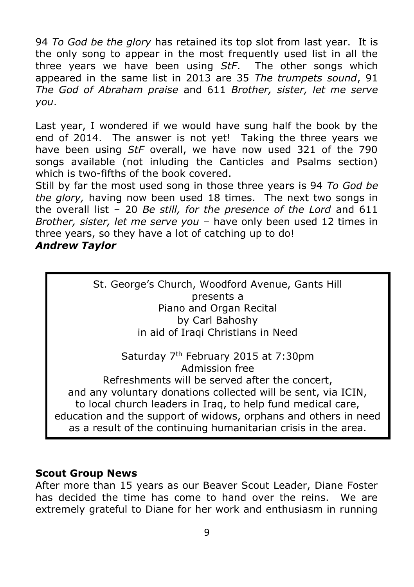94 *To God be the glory* has retained its top slot from last year. It is the only song to appear in the most frequently used list in all the three years we have been using *StF*. The other songs which appeared in the same list in 2013 are 35 *The trumpets sound*, 91 *The God of Abraham praise* and 611 *Brother, sister, let me serve you*.

Last year, I wondered if we would have sung half the book by the end of 2014. The answer is not yet! Taking the three years we have been using *StF* overall, we have now used 321 of the 790 songs available (not inluding the Canticles and Psalms section) which is two-fifths of the book covered.

Still by far the most used song in those three years is 94 *To God be the glory,* having now been used 18 times. The next two songs in the overall list – 20 *Be still, for the presence of the Lord* and 611 *Brother, sister, let me serve you* – have only been used 12 times in three years, so they have a lot of catching up to do! *Andrew Taylor*

> St. George's Church, Woodford Avenue, Gants Hill presents a Piano and Organ Recital by Carl Bahoshy in aid of Iraqi Christians in Need

Saturday 7th February 2015 at 7:30pm Admission free

Refreshments will be served after the concert, and any voluntary donations collected will be sent, via ICIN, to local church leaders in Iraq, to help fund medical care, education and the support of widows, orphans and others in need as a result of the continuing humanitarian crisis in the area.

#### **Scout Group News**

After more than 15 years as our Beaver Scout Leader, Diane Foster has decided the time has come to hand over the reins. We are extremely grateful to Diane for her work and enthusiasm in running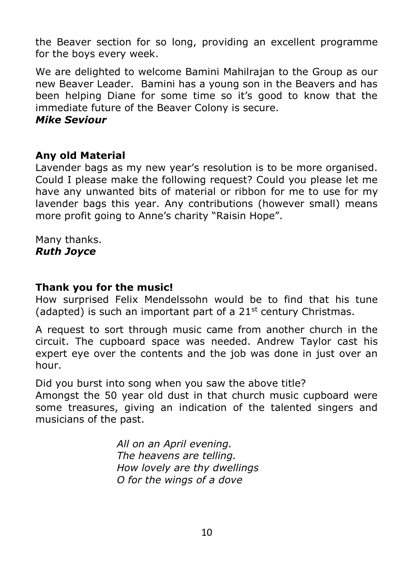the Beaver section for so long, providing an excellent programme for the boys every week.

We are delighted to welcome Bamini Mahilrajan to the Group as our new Beaver Leader. Bamini has a young son in the Beavers and has been helping Diane for some time so it's good to know that the immediate future of the Beaver Colony is secure.

#### *Mike Seviour*

#### **Any old Material**

Lavender bags as my new year's resolution is to be more organised. Could I please make the following request? Could you please let me have any unwanted bits of material or ribbon for me to use for my lavender bags this year. Any contributions (however small) means more profit going to Anne's charity "Raisin Hope".

Many thanks. *Ruth Joyce*

#### **Thank you for the music!**

How surprised Felix Mendelssohn would be to find that his tune (adapted) is such an important part of a  $21<sup>st</sup>$  century Christmas.

A request to sort through music came from another church in the circuit. The cupboard space was needed. Andrew Taylor cast his expert eye over the contents and the job was done in just over an hour.

Did you burst into song when you saw the above title?

Amongst the 50 year old dust in that church music cupboard were some treasures, giving an indication of the talented singers and musicians of the past.

> *All on an April evening. The heavens are telling. How lovely are thy dwellings O for the wings of a dove*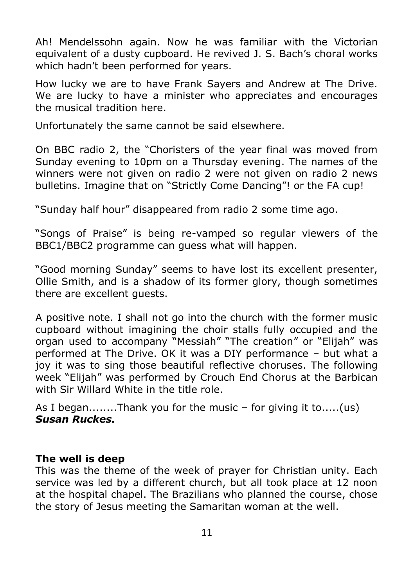Ah! Mendelssohn again. Now he was familiar with the Victorian equivalent of a dusty cupboard. He revived J. S. Bach's choral works which hadn't been performed for years.

How lucky we are to have Frank Sayers and Andrew at The Drive. We are lucky to have a minister who appreciates and encourages the musical tradition here.

Unfortunately the same cannot be said elsewhere.

On BBC radio 2, the "Choristers of the year final was moved from Sunday evening to 10pm on a Thursday evening. The names of the winners were not given on radio 2 were not given on radio 2 news bulletins. Imagine that on "Strictly Come Dancing"! or the FA cup!

"Sunday half hour" disappeared from radio 2 some time ago.

"Songs of Praise" is being re-vamped so regular viewers of the BBC1/BBC2 programme can guess what will happen.

"Good morning Sunday" seems to have lost its excellent presenter, Ollie Smith, and is a shadow of its former glory, though sometimes there are excellent guests.

A positive note. I shall not go into the church with the former music cupboard without imagining the choir stalls fully occupied and the organ used to accompany "Messiah" "The creation" or "Elijah" was performed at The Drive. OK it was a DIY performance – but what a joy it was to sing those beautiful reflective choruses. The following week "Elijah" was performed by Crouch End Chorus at the Barbican with Sir Willard White in the title role.

As I began........Thank you for the music – for giving it to.....(us) *Susan Ruckes.*

#### **The well is deep**

This was the theme of the week of prayer for Christian unity. Each service was led by a different church, but all took place at 12 noon at the hospital chapel. The Brazilians who planned the course, chose the story of Jesus meeting the Samaritan woman at the well.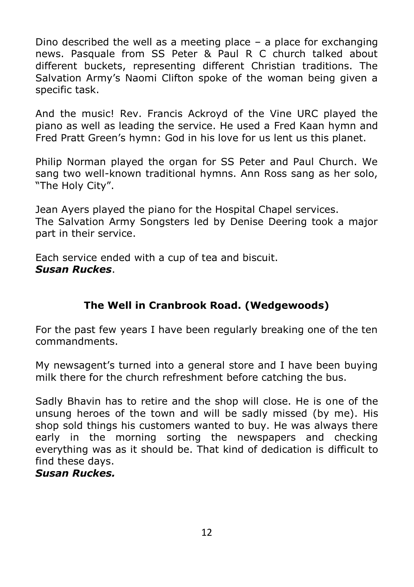Dino described the well as a meeting place  $-$  a place for exchanging news. Pasquale from SS Peter & Paul R C church talked about different buckets, representing different Christian traditions. The Salvation Army's Naomi Clifton spoke of the woman being given a specific task.

And the music! Rev. Francis Ackroyd of the Vine URC played the piano as well as leading the service. He used a Fred Kaan hymn and Fred Pratt Green's hymn: God in his love for us lent us this planet.

Philip Norman played the organ for SS Peter and Paul Church. We sang two well-known traditional hymns. Ann Ross sang as her solo, "The Holy City".

Jean Ayers played the piano for the Hospital Chapel services. The Salvation Army Songsters led by Denise Deering took a major part in their service.

Each service ended with a cup of tea and biscuit. *Susan Ruckes*.

#### **The Well in Cranbrook Road. (Wedgewoods)**

For the past few years I have been regularly breaking one of the ten commandments.

My newsagent's turned into a general store and I have been buying milk there for the church refreshment before catching the bus.

Sadly Bhavin has to retire and the shop will close. He is one of the unsung heroes of the town and will be sadly missed (by me). His shop sold things his customers wanted to buy. He was always there early in the morning sorting the newspapers and checking everything was as it should be. That kind of dedication is difficult to find these days.

*Susan Ruckes.*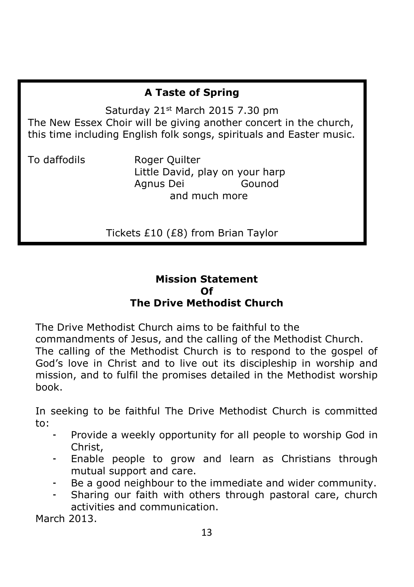#### **A Taste of Spring**

Saturday 21st March 2015 7.30 pm The New Essex Choir will be giving another concert in the church, this time including English folk songs, spirituals and Easter music.

To daffodils Roger Quilter Little David, play on your harp Agnus Dei Gounod and much more

Tickets £10 (£8) from Brian Taylor

#### **Mission Statement Of The Drive Methodist Church**

The Drive Methodist Church aims to be faithful to the

commandments of Jesus, and the calling of the Methodist Church. The calling of the Methodist Church is to respond to the gospel of God's love in Christ and to live out its discipleship in worship and mission, and to fulfil the promises detailed in the Methodist worship book.

In seeking to be faithful The Drive Methodist Church is committed to:

- Provide a weekly opportunity for all people to worship God in Christ,
- Enable people to grow and learn as Christians through mutual support and care.
- Be a good neighbour to the immediate and wider community.
- Sharing our faith with others through pastoral care, church activities and communication.

March 2013.